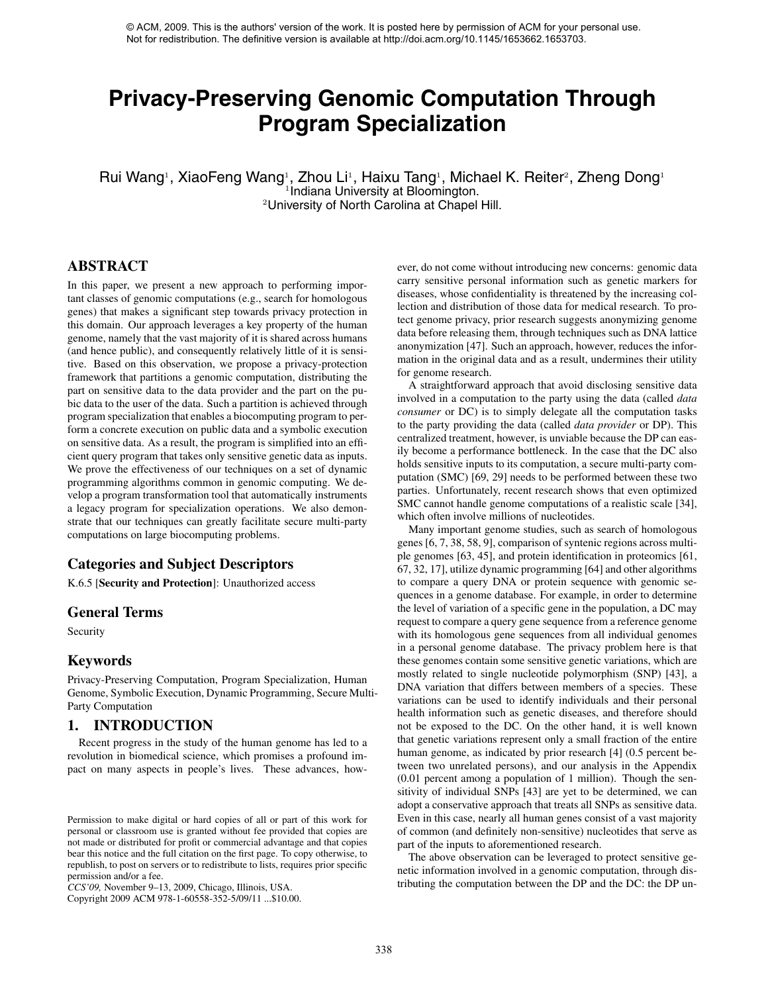# **Privacy-Preserving Genomic Computation Through Program Specialization**

Rui Wang<sup>1</sup>, XiaoFeng Wang<sup>1</sup>, Zhou Li<sup>1</sup>, Haixu Tang<sup>1</sup>, Michael K. Reiter<sup>2</sup>, Zheng Dong<sup>1</sup> <sup>1</sup>Indiana University at Bloomington. <sup>2</sup>University of North Carolina at Chapel Hill.

## **ABSTRACT**

In this paper, we present a new approach to performing important classes of genomic computations (e.g., search for homologous genes) that makes a significant step towards privacy protection in this domain. Our approach leverages a key property of the human genome, namely that the vast majority of it is shared across humans (and hence public), and consequently relatively little of it is sensitive. Based on this observation, we propose a privacy-protection framework that partitions a genomic computation, distributing the part on sensitive data to the data provider and the part on the pubic data to the user of the data. Such a partition is achieved through program specialization that enables a biocomputing program to perform a concrete execution on public data and a symbolic execution on sensitive data. As a result, the program is simplified into an efficient query program that takes only sensitive genetic data as inputs. We prove the effectiveness of our techniques on a set of dynamic programming algorithms common in genomic computing. We develop a program transformation tool that automatically instruments a legacy program for specialization operations. We also demonstrate that our techniques can greatly facilitate secure multi-party computations on large biocomputing problems.

## **Categories and Subject Descriptors**

K.6.5 [**Security and Protection**]: Unauthorized access

#### **General Terms**

Security

#### **Keywords**

Privacy-Preserving Computation, Program Specialization, Human Genome, Symbolic Execution, Dynamic Programming, Secure Multi-Party Computation

## **1. INTRODUCTION**

Recent progress in the study of the human genome has led to a revolution in biomedical science, which promises a profound impact on many aspects in people's lives. These advances, how-

Copyright 2009 ACM 978-1-60558-352-5/09/11 ...\$10.00.

ever, do not come without introducing new concerns: genomic data carry sensitive personal information such as genetic markers for diseases, whose confidentiality is threatened by the increasing collection and distribution of those data for medical research. To protect genome privacy, prior research suggests anonymizing genome data before releasing them, through techniques such as DNA lattice anonymization [47]. Such an approach, however, reduces the information in the original data and as a result, undermines their utility for genome research.

A straightforward approach that avoid disclosing sensitive data involved in a computation to the party using the data (called *data consumer* or DC) is to simply delegate all the computation tasks to the party providing the data (called *data provider* or DP). This centralized treatment, however, is unviable because the DP can easily become a performance bottleneck. In the case that the DC also holds sensitive inputs to its computation, a secure multi-party computation (SMC) [69, 29] needs to be performed between these two parties. Unfortunately, recent research shows that even optimized SMC cannot handle genome computations of a realistic scale [34], which often involve millions of nucleotides.

Many important genome studies, such as search of homologous genes [6, 7, 38, 58, 9], comparison of syntenic regions across multiple genomes [63, 45], and protein identification in proteomics [61, 67, 32, 17], utilize dynamic programming [64] and other algorithms to compare a query DNA or protein sequence with genomic sequences in a genome database. For example, in order to determine the level of variation of a specific gene in the population, a DC may request to compare a query gene sequence from a reference genome with its homologous gene sequences from all individual genomes in a personal genome database. The privacy problem here is that these genomes contain some sensitive genetic variations, which are mostly related to single nucleotide polymorphism (SNP) [43], a DNA variation that differs between members of a species. These variations can be used to identify individuals and their personal health information such as genetic diseases, and therefore should not be exposed to the DC. On the other hand, it is well known that genetic variations represent only a small fraction of the entire human genome, as indicated by prior research [4] (0.5 percent between two unrelated persons), and our analysis in the Appendix (0.01 percent among a population of 1 million). Though the sensitivity of individual SNPs [43] are yet to be determined, we can adopt a conservative approach that treats all SNPs as sensitive data. Even in this case, nearly all human genes consist of a vast majority of common (and definitely non-sensitive) nucleotides that serve as part of the inputs to aforementioned research. 338 ACM action (1838 Control of the authors' version of the authors' version of the authors' version of the authors' version of the authors' version of the authors' version of the authors' version of  $\sim$  338 °C/cm (1838)

The above observation can be leveraged to protect sensitive genetic information involved in a genomic computation, through distributing the computation between the DP and the DC: the DP un-

Permission to make digital or hard copies of all or part of this work for personal or classroom use is granted without fee provided that copies are not made or distributed for profit or commercial advantage and that copies bear this notice and the full citation on the first page. To copy otherwise, to republish, to post on servers or to redistribute to lists, requires prior specific permission and/or a fee.

*CCS'09,* November 9–13, 2009, Chicago, Illinois, USA.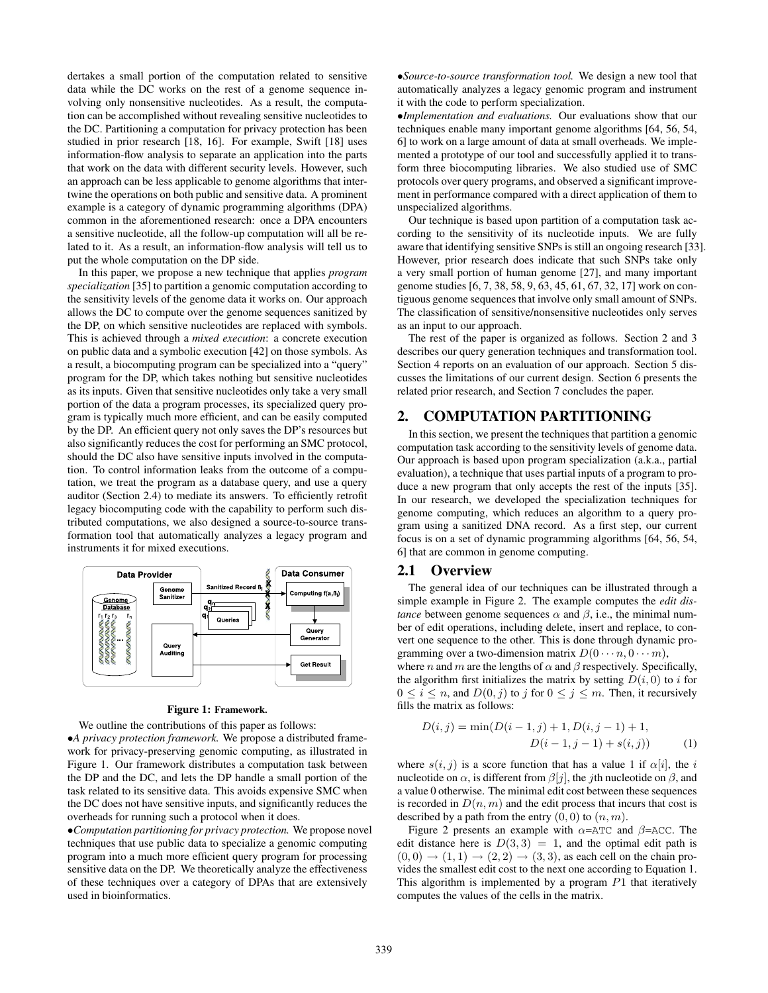dertakes a small portion of the computation related to sensitive data while the DC works on the rest of a genome sequence involving only nonsensitive nucleotides. As a result, the computation can be accomplished without revealing sensitive nucleotides to the DC. Partitioning a computation for privacy protection has been studied in prior research [18, 16]. For example, Swift [18] uses information-flow analysis to separate an application into the parts that work on the data with different security levels. However, such an approach can be less applicable to genome algorithms that intertwine the operations on both public and sensitive data. A prominent example is a category of dynamic programming algorithms (DPA) common in the aforementioned research: once a DPA encounters a sensitive nucleotide, all the follow-up computation will all be related to it. As a result, an information-flow analysis will tell us to put the whole computation on the DP side.

In this paper, we propose a new technique that applies *program specialization* [35] to partition a genomic computation according to the sensitivity levels of the genome data it works on. Our approach allows the DC to compute over the genome sequences sanitized by the DP, on which sensitive nucleotides are replaced with symbols. This is achieved through a *mixed execution*: a concrete execution on public data and a symbolic execution [42] on those symbols. As a result, a biocomputing program can be specialized into a "query" program for the DP, which takes nothing but sensitive nucleotides as its inputs. Given that sensitive nucleotides only take a very small portion of the data a program processes, its specialized query program is typically much more efficient, and can be easily computed by the DP. An efficient query not only saves the DP's resources but also significantly reduces the cost for performing an SMC protocol, should the DC also have sensitive inputs involved in the computation. To control information leaks from the outcome of a computation, we treat the program as a database query, and use a query auditor (Section 2.4) to mediate its answers. To efficiently retrofit legacy biocomputing code with the capability to perform such distributed computations, we also designed a source-to-source transformation tool that automatically analyzes a legacy program and instruments it for mixed executions.



#### **Figure 1: Framework.**

We outline the contributions of this paper as follows: •*A privacy protection framework.* We propose a distributed framework for privacy-preserving genomic computing, as illustrated in Figure 1. Our framework distributes a computation task between the DP and the DC, and lets the DP handle a small portion of the task related to its sensitive data. This avoids expensive SMC when the DC does not have sensitive inputs, and significantly reduces the overheads for running such a protocol when it does.

•*Computation partitioning for privacy protection.* We propose novel techniques that use public data to specialize a genomic computing program into a much more efficient query program for processing sensitive data on the DP. We theoretically analyze the effectiveness of these techniques over a category of DPAs that are extensively used in bioinformatics.

•*Source-to-source transformation tool.* We design a new tool that automatically analyzes a legacy genomic program and instrument it with the code to perform specialization.

•*Implementation and evaluations.* Our evaluations show that our techniques enable many important genome algorithms [64, 56, 54, 6] to work on a large amount of data at small overheads. We implemented a prototype of our tool and successfully applied it to transform three biocomputing libraries. We also studied use of SMC protocols over query programs, and observed a significant improvement in performance compared with a direct application of them to unspecialized algorithms.

Our technique is based upon partition of a computation task according to the sensitivity of its nucleotide inputs. We are fully aware that identifying sensitive SNPs is still an ongoing research [33]. However, prior research does indicate that such SNPs take only a very small portion of human genome [27], and many important genome studies [6, 7, 38, 58, 9, 63, 45, 61, 67, 32, 17] work on contiguous genome sequences that involve only small amount of SNPs. The classification of sensitive/nonsensitive nucleotides only serves as an input to our approach.

The rest of the paper is organized as follows. Section 2 and 3 describes our query generation techniques and transformation tool. Section 4 reports on an evaluation of our approach. Section 5 discusses the limitations of our current design. Section 6 presents the related prior research, and Section 7 concludes the paper.

## **2. COMPUTATION PARTITIONING**

In this section, we present the techniques that partition a genomic computation task according to the sensitivity levels of genome data. Our approach is based upon program specialization (a.k.a., partial evaluation), a technique that uses partial inputs of a program to produce a new program that only accepts the rest of the inputs [35]. In our research, we developed the specialization techniques for genome computing, which reduces an algorithm to a query program using a sanitized DNA record. As a first step, our current focus is on a set of dynamic programming algorithms [64, 56, 54, 6] that are common in genome computing.

#### **2.1 Overview**

The general idea of our techniques can be illustrated through a simple example in Figure 2. The example computes the *edit distance* between genome sequences  $\alpha$  and  $\beta$ , i.e., the minimal number of edit operations, including delete, insert and replace, to convert one sequence to the other. This is done through dynamic programming over a two-dimension matrix  $D(0 \cdots n, 0 \cdots m)$ ,

where n and m are the lengths of  $\alpha$  and  $\beta$  respectively. Specifically, the algorithm first initializes the matrix by setting  $D(i, 0)$  to i for  $0 \le i \le n$ , and  $D(0, j)$  to j for  $0 \le j \le m$ . Then, it recursively fills the matrix as follows:

$$
D(i,j) = \min(D(i-1,j) + 1, D(i, j-1) + 1, D(i-1, j-1) + s(i, j))
$$
 (1)

where  $s(i, j)$  is a score function that has a value 1 if  $\alpha[i]$ , the i nucleotide on  $\alpha$ , is different from  $\beta[i]$ , the *j*th nucleotide on  $\beta$ , and a value 0 otherwise. The minimal edit cost between these sequences is recorded in  $D(n, m)$  and the edit process that incurs that cost is described by a path from the entry  $(0, 0)$  to  $(n, m)$ .

Figure 2 presents an example with  $\alpha$ =ATC and  $\beta$ =ACC. The edit distance here is  $D(3,3) = 1$ , and the optimal edit path is  $(0, 0) \rightarrow (1, 1) \rightarrow (2, 2) \rightarrow (3, 3)$ , as each cell on the chain provides the smallest edit cost to the next one according to Equation 1. This algorithm is implemented by a program P1 that iteratively computes the values of the cells in the matrix.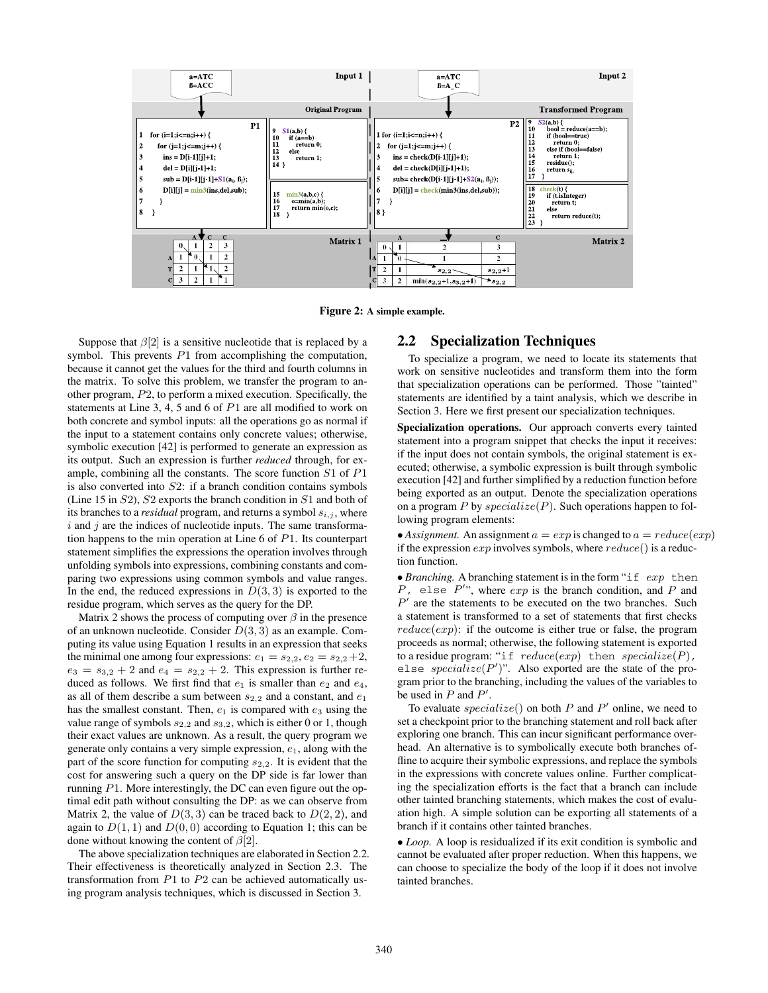

**Figure 2: A simple example.**

Suppose that  $\beta$ [2] is a sensitive nucleotide that is replaced by a symbol. This prevents  $P1$  from accomplishing the computation, because it cannot get the values for the third and fourth columns in the matrix. To solve this problem, we transfer the program to another program, P2, to perform a mixed execution. Specifically, the statements at Line 3, 4, 5 and 6 of P1 are all modified to work on both concrete and symbol inputs: all the operations go as normal if the input to a statement contains only concrete values; otherwise, symbolic execution [42] is performed to generate an expression as its output. Such an expression is further *reduced* through, for example, combining all the constants. The score function  $S1$  of  $P1$ is also converted into S2: if a branch condition contains symbols (Line 15 in S2), S2 exports the branch condition in S1 and both of its branches to a *residual* program, and returns a symbol  $s_{i,j}$ , where  $i$  and  $j$  are the indices of nucleotide inputs. The same transformation happens to the min operation at Line 6 of P1. Its counterpart statement simplifies the expressions the operation involves through unfolding symbols into expressions, combining constants and comparing two expressions using common symbols and value ranges. In the end, the reduced expressions in  $D(3,3)$  is exported to the residue program, which serves as the query for the DP.

Matrix 2 shows the process of computing over  $\beta$  in the presence of an unknown nucleotide. Consider  $D(3, 3)$  as an example. Computing its value using Equation 1 results in an expression that seeks the minimal one among four expressions:  $e_1 = s_{2,2}, e_2 = s_{2,2}+2$ ,  $e_3 = s_{3,2} + 2$  and  $e_4 = s_{2,2} + 2$ . This expression is further reduced as follows. We first find that  $e_1$  is smaller than  $e_2$  and  $e_4$ , as all of them describe a sum between  $s_{2,2}$  and a constant, and  $e_1$ has the smallest constant. Then,  $e_1$  is compared with  $e_3$  using the value range of symbols  $s_{2,2}$  and  $s_{3,2}$ , which is either 0 or 1, though their exact values are unknown. As a result, the query program we generate only contains a very simple expression,  $e_1$ , along with the part of the score function for computing  $s_{2,2}$ . It is evident that the cost for answering such a query on the DP side is far lower than running P1. More interestingly, the DC can even figure out the optimal edit path without consulting the DP: as we can observe from Matrix 2, the value of  $D(3,3)$  can be traced back to  $D(2,2)$ , and again to  $D(1, 1)$  and  $D(0, 0)$  according to Equation 1; this can be done without knowing the content of  $\beta$ [2].

The above specialization techniques are elaborated in Section 2.2. Their effectiveness is theoretically analyzed in Section 2.3. The transformation from  $P1$  to  $P2$  can be achieved automatically using program analysis techniques, which is discussed in Section 3.

## **2.2 Specialization Techniques**

To specialize a program, we need to locate its statements that work on sensitive nucleotides and transform them into the form that specialization operations can be performed. Those "tainted" statements are identified by a taint analysis, which we describe in Section 3. Here we first present our specialization techniques.

**Specialization operations.** Our approach converts every tainted statement into a program snippet that checks the input it receives: if the input does not contain symbols, the original statement is executed; otherwise, a symbolic expression is built through symbolic execution [42] and further simplified by a reduction function before being exported as an output. Denote the specialization operations on a program P by  $specialize(P)$ . Such operations happen to following program elements:

• *Assignment.* An assignment  $a = exp$  is changed to  $a = reduce(exp)$ if the expression  $exp$  involves symbols, where  $reduce()$  is a reduction function.

• *Branching*. A branching statement is in the form "if  $exp$  then  $P$ , else  $P''$ , where  $exp$  is the branch condition, and  $P$  and  $P'$  are the statements to be executed on the two branches. Such a statement is transformed to a set of statements that first checks  $reduce(exp)$ : if the outcome is either true or false, the program proceeds as normal; otherwise, the following statement is exported to a residue program: "if  $reduce(exp)$  then  $specialize(P)$ , else specialize( $P'$ )". Also exported are the state of the program prior to the branching, including the values of the variables to be used in  $P$  and  $P'$ .

To evaluate  $specialize()$  on both P and P' online, we need to set a checkpoint prior to the branching statement and roll back after exploring one branch. This can incur significant performance overhead. An alternative is to symbolically execute both branches offline to acquire their symbolic expressions, and replace the symbols in the expressions with concrete values online. Further complicating the specialization efforts is the fact that a branch can include other tainted branching statements, which makes the cost of evaluation high. A simple solution can be exporting all statements of a branch if it contains other tainted branches.

• *Loop.* A loop is residualized if its exit condition is symbolic and cannot be evaluated after proper reduction. When this happens, we can choose to specialize the body of the loop if it does not involve tainted branches.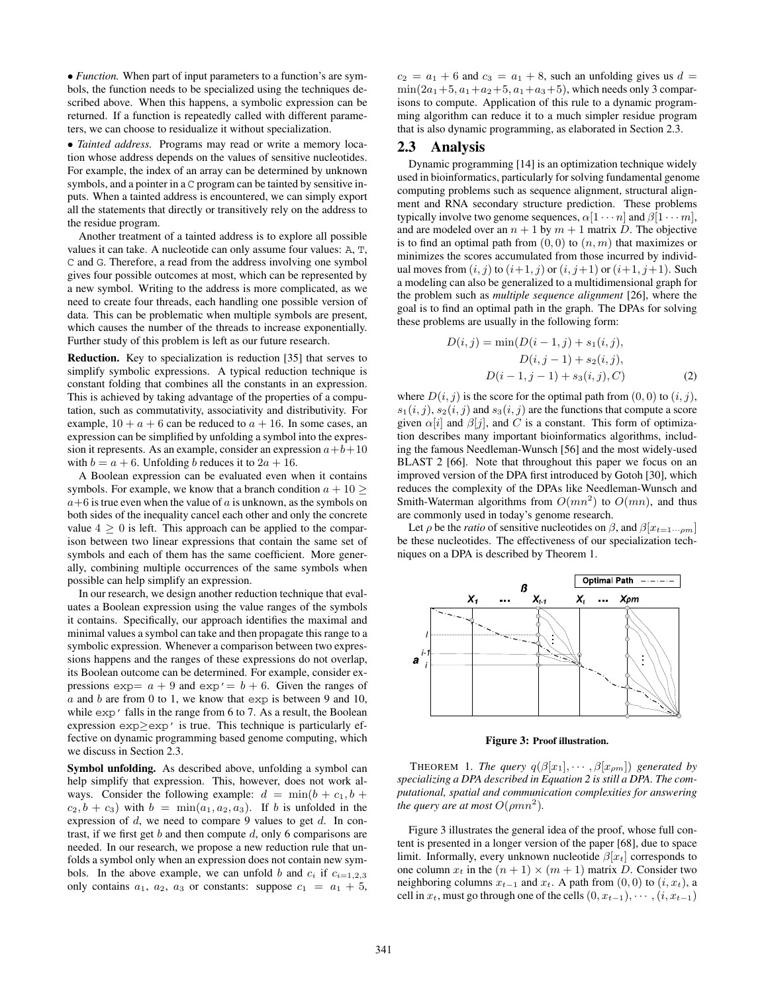• *Function.* When part of input parameters to a function's are symbols, the function needs to be specialized using the techniques described above. When this happens, a symbolic expression can be returned. If a function is repeatedly called with different parameters, we can choose to residualize it without specialization.

• *Tainted address.* Programs may read or write a memory location whose address depends on the values of sensitive nucleotides. For example, the index of an array can be determined by unknown symbols, and a pointer in a C program can be tainted by sensitive inputs. When a tainted address is encountered, we can simply export all the statements that directly or transitively rely on the address to the residue program.

Another treatment of a tainted address is to explore all possible values it can take. A nucleotide can only assume four values: A, T, C and G. Therefore, a read from the address involving one symbol gives four possible outcomes at most, which can be represented by a new symbol. Writing to the address is more complicated, as we need to create four threads, each handling one possible version of data. This can be problematic when multiple symbols are present, which causes the number of the threads to increase exponentially. Further study of this problem is left as our future research.

**Reduction.** Key to specialization is reduction [35] that serves to simplify symbolic expressions. A typical reduction technique is constant folding that combines all the constants in an expression. This is achieved by taking advantage of the properties of a computation, such as commutativity, associativity and distributivity. For example,  $10 + a + 6$  can be reduced to  $a + 16$ . In some cases, an expression can be simplified by unfolding a symbol into the expression it represents. As an example, consider an expression  $a+b+10$ with  $b = a + 6$ . Unfolding b reduces it to  $2a + 16$ .

A Boolean expression can be evaluated even when it contains symbols. For example, we know that a branch condition  $a + 10 \geq$  $a+6$  is true even when the value of a is unknown, as the symbols on both sides of the inequality cancel each other and only the concrete value  $4 \geq 0$  is left. This approach can be applied to the comparison between two linear expressions that contain the same set of symbols and each of them has the same coefficient. More generally, combining multiple occurrences of the same symbols when possible can help simplify an expression.

In our research, we design another reduction technique that evaluates a Boolean expression using the value ranges of the symbols it contains. Specifically, our approach identifies the maximal and minimal values a symbol can take and then propagate this range to a symbolic expression. Whenever a comparison between two expressions happens and the ranges of these expressions do not overlap, its Boolean outcome can be determined. For example, consider expressions  $\exp= a + 9$  and  $\exp' = b + 6$ . Given the ranges of  $a$  and  $b$  are from 0 to 1, we know that exp is between 9 and 10, while  $\exp'$  falls in the range from 6 to 7. As a result, the Boolean expression exp≥exp' is true. This technique is particularly effective on dynamic programming based genome computing, which we discuss in Section 2.3.

**Symbol unfolding.** As described above, unfolding a symbol can help simplify that expression. This, however, does not work always. Consider the following example:  $d = \min(b + c_1, b + c_2)$  $c_2$ ,  $b + c_3$ ) with  $b = \min(a_1, a_2, a_3)$ . If b is unfolded in the expression of  $d$ , we need to compare 9 values to get  $d$ . In contrast, if we first get  $b$  and then compute  $d$ , only 6 comparisons are needed. In our research, we propose a new reduction rule that unfolds a symbol only when an expression does not contain new symbols. In the above example, we can unfold b and  $c_i$  if  $c_{i=1,2,3}$ only contains  $a_1$ ,  $a_2$ ,  $a_3$  or constants: suppose  $c_1 = a_1 + 5$ ,

 $c_2 = a_1 + 6$  and  $c_3 = a_1 + 8$ , such an unfolding gives us  $d =$  $\min(2a_1+5, a_1+a_2+5, a_1+a_3+5)$ , which needs only 3 comparisons to compute. Application of this rule to a dynamic programming algorithm can reduce it to a much simpler residue program that is also dynamic programming, as elaborated in Section 2.3.

#### **2.3 Analysis**

Dynamic programming [14] is an optimization technique widely used in bioinformatics, particularly for solving fundamental genome computing problems such as sequence alignment, structural alignment and RNA secondary structure prediction. These problems typically involve two genome sequences,  $\alpha[1 \cdots n]$  and  $\beta[1 \cdots m]$ , and are modeled over an  $n + 1$  by  $m + 1$  matrix D. The objective is to find an optimal path from  $(0, 0)$  to  $(n, m)$  that maximizes or minimizes the scores accumulated from those incurred by individual moves from  $(i, j)$  to  $(i+1, j)$  or  $(i, j+1)$  or  $(i+1, j+1)$ . Such a modeling can also be generalized to a multidimensional graph for the problem such as *multiple sequence alignment* [26], where the goal is to find an optimal path in the graph. The DPAs for solving these problems are usually in the following form:

$$
D(i,j) = \min(D(i-1,j) + s_1(i,j)),
$$
  
\n
$$
D(i, j-1) + s_2(i,j),
$$
  
\n
$$
D(i-1, j-1) + s_3(i,j), C)
$$
\n(2)

where  $D(i, j)$  is the score for the optimal path from  $(0, 0)$  to  $(i, j)$ ,  $s_1(i, j), s_2(i, j)$  and  $s_3(i, j)$  are the functions that compute a score given  $\alpha[i]$  and  $\beta[j]$ , and C is a constant. This form of optimization describes many important bioinformatics algorithms, including the famous Needleman-Wunsch [56] and the most widely-used BLAST 2 [66]. Note that throughout this paper we focus on an improved version of the DPA first introduced by Gotoh [30], which reduces the complexity of the DPAs like Needleman-Wunsch and Smith-Waterman algorithms from  $O(mn^2)$  to  $O(mn)$ , and thus are commonly used in today's genome research.

Let  $\rho$  be the *ratio* of sensitive nucleotides on  $\beta$ , and  $\beta[x_{t=1} \dots \rho m]$ be these nucleotides. The effectiveness of our specialization techniques on a DPA is described by Theorem 1.



**Figure 3: Proof illustration.**

**THEOREM** 1. *The query*  $q(\beta[x_1], \cdots, \beta[x_{\rho m}])$  generated by *specializing a DPA described in Equation 2 is still a DPA. The computational, spatial and communication complexities for answering the query are at most*  $O(pmn^2)$ *.* 

Figure 3 illustrates the general idea of the proof, whose full content is presented in a longer version of the paper [68], due to space limit. Informally, every unknown nucleotide  $\beta[x_t]$  corresponds to one column  $x_t$  in the  $(n + 1) \times (m + 1)$  matrix D. Consider two neighboring columns  $x_{t-1}$  and  $x_t$ . A path from  $(0, 0)$  to  $(i, x_t)$ , a cell in  $x_t$ , must go through one of the cells  $(0, x_{t-1}), \cdots, (i, x_{t-1})$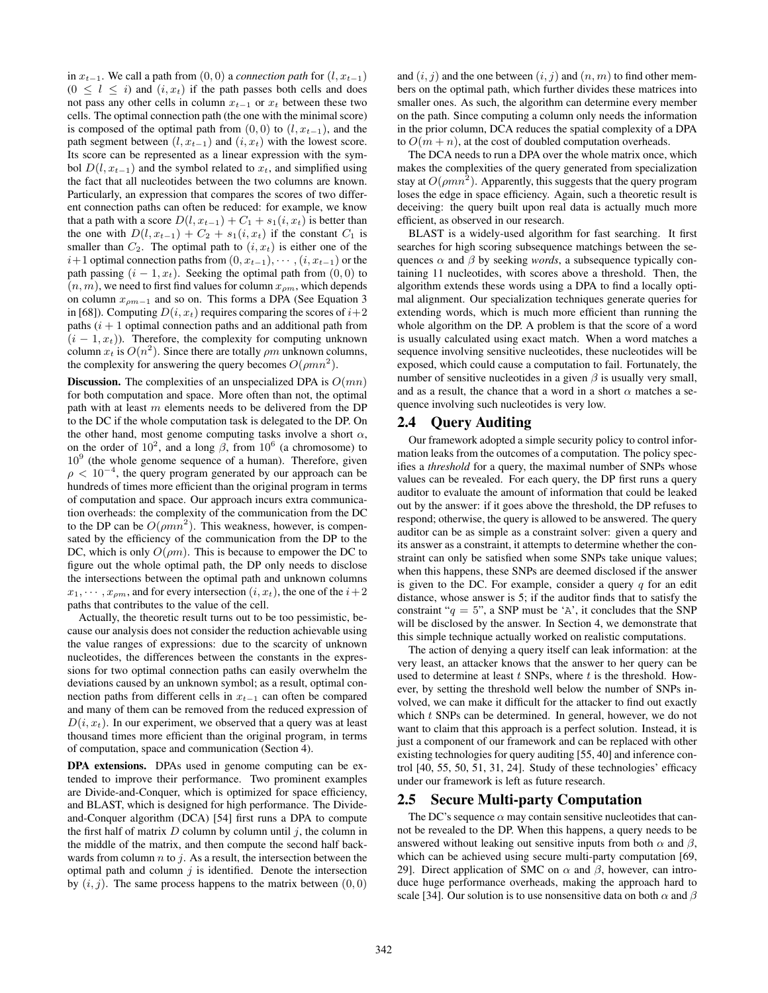in  $x_{t-1}$ . We call a path from  $(0, 0)$  a *connection path* for  $(l, x_{t-1})$  $(0 \leq l \leq i)$  and  $(i, x_t)$  if the path passes both cells and does not pass any other cells in column  $x_{t-1}$  or  $x_t$  between these two cells. The optimal connection path (the one with the minimal score) is composed of the optimal path from  $(0, 0)$  to  $(l, x_{t-1})$ , and the path segment between  $(l, x_{t-1})$  and  $(i, x_t)$  with the lowest score. Its score can be represented as a linear expression with the symbol  $D(l, x_{t-1})$  and the symbol related to  $x_t$ , and simplified using the fact that all nucleotides between the two columns are known. Particularly, an expression that compares the scores of two different connection paths can often be reduced: for example, we know that a path with a score  $D(l, x_{t-1}) + C_1 + s_1(i, x_t)$  is better than the one with  $D(l, x_{t-1}) + C_2 + s_1(i, x_t)$  if the constant  $C_1$  is smaller than  $C_2$ . The optimal path to  $(i, x_t)$  is either one of the  $i+1$  optimal connection paths from  $(0, x_{t-1}), \cdots, (i, x_{t-1})$  or the path passing  $(i - 1, x_t)$ . Seeking the optimal path from  $(0, 0)$  to  $(n, m)$ , we need to first find values for column  $x_{\rho m}$ , which depends on column  $x_{\rho m-1}$  and so on. This forms a DPA (See Equation 3 in [68]). Computing  $D(i, x_t)$  requires comparing the scores of  $i+2$ paths  $(i + 1)$  optimal connection paths and an additional path from  $(i - 1, x_t)$ ). Therefore, the complexity for computing unknown column  $x_t$  is  $O(n^2)$ . Since there are totally  $\rho m$  unknown columns, the complexity for answering the query becomes  $O(\rho mn^2)$ .

**Discussion.** The complexities of an unspecialized DPA is  $O(mn)$ for both computation and space. More often than not, the optimal path with at least  $m$  elements needs to be delivered from the DP to the DC if the whole computation task is delegated to the DP. On the other hand, most genome computing tasks involve a short  $\alpha$ , on the order of  $10^2$ , and a long  $\beta$ , from  $10^6$  (a chromosome) to  $10<sup>9</sup>$  (the whole genome sequence of a human). Therefore, given  $\rho < 10^{-4}$ , the query program generated by our approach can be hundreds of times more efficient than the original program in terms of computation and space. Our approach incurs extra communication overheads: the complexity of the communication from the DC to the DP can be  $O(\rho mn^2)$ . This weakness, however, is compensated by the efficiency of the communication from the DP to the DC, which is only  $O(\rho m)$ . This is because to empower the DC to figure out the whole optimal path, the DP only needs to disclose the intersections between the optimal path and unknown columns  $x_1, \dots, x_{\rho m}$ , and for every intersection  $(i, x_t)$ , the one of the  $i+2$ paths that contributes to the value of the cell.

Actually, the theoretic result turns out to be too pessimistic, because our analysis does not consider the reduction achievable using the value ranges of expressions: due to the scarcity of unknown nucleotides, the differences between the constants in the expressions for two optimal connection paths can easily overwhelm the deviations caused by an unknown symbol; as a result, optimal connection paths from different cells in  $x_{t-1}$  can often be compared and many of them can be removed from the reduced expression of  $D(i, x_t)$ . In our experiment, we observed that a query was at least thousand times more efficient than the original program, in terms of computation, space and communication (Section 4).

**DPA extensions.** DPAs used in genome computing can be extended to improve their performance. Two prominent examples are Divide-and-Conquer, which is optimized for space efficiency, and BLAST, which is designed for high performance. The Divideand-Conquer algorithm (DCA) [54] first runs a DPA to compute the first half of matrix  $D$  column by column until  $j$ , the column in the middle of the matrix, and then compute the second half backwards from column  $n$  to  $j$ . As a result, the intersection between the optimal path and column  $j$  is identified. Denote the intersection by  $(i, j)$ . The same process happens to the matrix between  $(0, 0)$ 

and  $(i, j)$  and the one between  $(i, j)$  and  $(n, m)$  to find other members on the optimal path, which further divides these matrices into smaller ones. As such, the algorithm can determine every member on the path. Since computing a column only needs the information in the prior column, DCA reduces the spatial complexity of a DPA to  $O(m + n)$ , at the cost of doubled computation overheads.

The DCA needs to run a DPA over the whole matrix once, which makes the complexities of the query generated from specialization stay at  $O(\rho mn^2)$ . Apparently, this suggests that the query program loses the edge in space efficiency. Again, such a theoretic result is deceiving: the query built upon real data is actually much more efficient, as observed in our research.

BLAST is a widely-used algorithm for fast searching. It first searches for high scoring subsequence matchings between the sequences  $\alpha$  and  $\beta$  by seeking *words*, a subsequence typically containing 11 nucleotides, with scores above a threshold. Then, the algorithm extends these words using a DPA to find a locally optimal alignment. Our specialization techniques generate queries for extending words, which is much more efficient than running the whole algorithm on the DP. A problem is that the score of a word is usually calculated using exact match. When a word matches a sequence involving sensitive nucleotides, these nucleotides will be exposed, which could cause a computation to fail. Fortunately, the number of sensitive nucleotides in a given  $\beta$  is usually very small, and as a result, the chance that a word in a short  $\alpha$  matches a sequence involving such nucleotides is very low.

#### **2.4 Query Auditing**

Our framework adopted a simple security policy to control information leaks from the outcomes of a computation. The policy specifies a *threshold* for a query, the maximal number of SNPs whose values can be revealed. For each query, the DP first runs a query auditor to evaluate the amount of information that could be leaked out by the answer: if it goes above the threshold, the DP refuses to respond; otherwise, the query is allowed to be answered. The query auditor can be as simple as a constraint solver: given a query and its answer as a constraint, it attempts to determine whether the constraint can only be satisfied when some SNPs take unique values; when this happens, these SNPs are deemed disclosed if the answer is given to the DC. For example, consider a query  $q$  for an edit distance, whose answer is 5; if the auditor finds that to satisfy the constraint " $q = 5$ ", a SNP must be 'A', it concludes that the SNP will be disclosed by the answer. In Section 4, we demonstrate that this simple technique actually worked on realistic computations.

The action of denying a query itself can leak information: at the very least, an attacker knows that the answer to her query can be used to determine at least  $t$  SNPs, where  $t$  is the threshold. However, by setting the threshold well below the number of SNPs involved, we can make it difficult for the attacker to find out exactly which  $t$  SNPs can be determined. In general, however, we do not want to claim that this approach is a perfect solution. Instead, it is just a component of our framework and can be replaced with other existing technologies for query auditing [55, 40] and inference control [40, 55, 50, 51, 31, 24]. Study of these technologies' efficacy under our framework is left as future research.

#### **2.5 Secure Multi-party Computation**

The DC's sequence  $\alpha$  may contain sensitive nucleotides that cannot be revealed to the DP. When this happens, a query needs to be answered without leaking out sensitive inputs from both  $\alpha$  and  $\beta$ , which can be achieved using secure multi-party computation [69, 29]. Direct application of SMC on  $\alpha$  and  $\beta$ , however, can introduce huge performance overheads, making the approach hard to scale [34]. Our solution is to use nonsensitive data on both  $\alpha$  and  $\beta$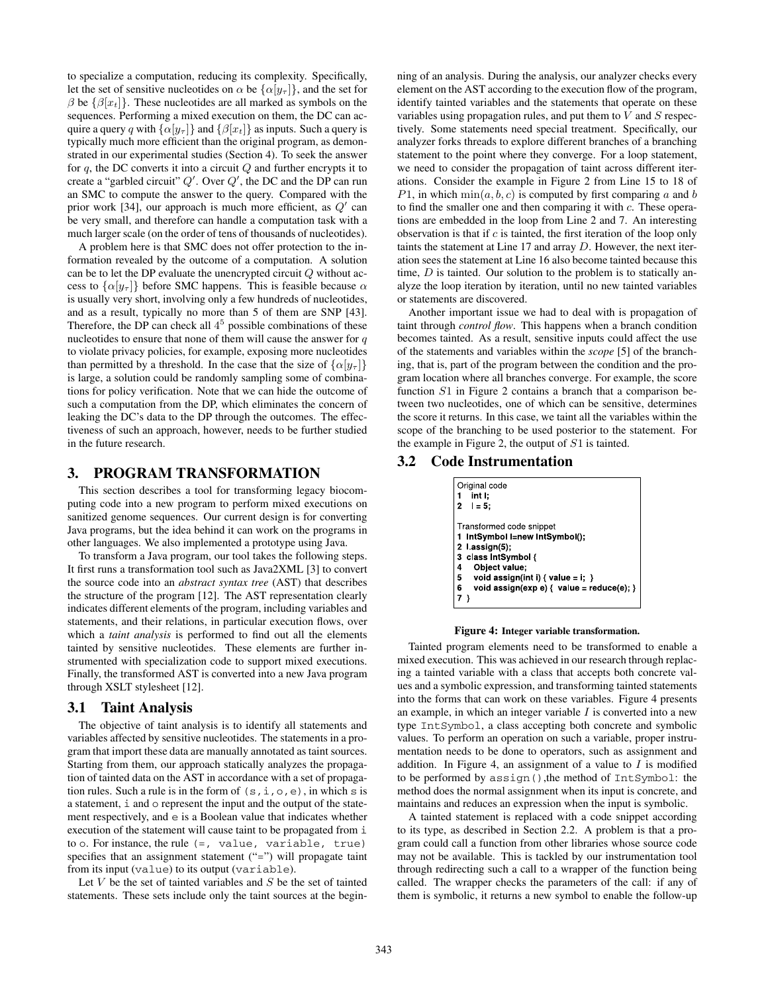to specialize a computation, reducing its complexity. Specifically, let the set of sensitive nucleotides on  $\alpha$  be  $\{\alpha[y_\tau]\}\,$ , and the set for  $\beta$  be  $\{\beta[x_t]\}$ . These nucleotides are all marked as symbols on the sequences. Performing a mixed execution on them, the DC can acquire a query q with  $\{\alpha |y_\tau|\}$  and  $\{\beta |x_t|\}$  as inputs. Such a query is typically much more efficient than the original program, as demonstrated in our experimental studies (Section 4). To seek the answer for q, the DC converts it into a circuit  $Q$  and further encrypts it to create a "garbled circuit"  $Q'$ . Over  $Q'$ , the DC and the DP can run an SMC to compute the answer to the query. Compared with the prior work [34], our approach is much more efficient, as  $Q'$  can be very small, and therefore can handle a computation task with a much larger scale (on the order of tens of thousands of nucleotides).

A problem here is that SMC does not offer protection to the information revealed by the outcome of a computation. A solution can be to let the DP evaluate the unencrypted circuit  $Q$  without access to  $\{\alpha[y_\tau]\}\$  before SMC happens. This is feasible because  $\alpha$ is usually very short, involving only a few hundreds of nucleotides, and as a result, typically no more than 5 of them are SNP [43]. Therefore, the DP can check all  $4<sup>5</sup>$  possible combinations of these nucleotides to ensure that none of them will cause the answer for  $q$ to violate privacy policies, for example, exposing more nucleotides than permitted by a threshold. In the case that the size of  $\{\alpha |y_\tau|\}$ is large, a solution could be randomly sampling some of combinations for policy verification. Note that we can hide the outcome of such a computation from the DP, which eliminates the concern of leaking the DC's data to the DP through the outcomes. The effectiveness of such an approach, however, needs to be further studied in the future research.

## **3. PROGRAM TRANSFORMATION**

This section describes a tool for transforming legacy biocomputing code into a new program to perform mixed executions on sanitized genome sequences. Our current design is for converting Java programs, but the idea behind it can work on the programs in other languages. We also implemented a prototype using Java.

To transform a Java program, our tool takes the following steps. It first runs a transformation tool such as Java2XML [3] to convert the source code into an *abstract syntax tree* (AST) that describes the structure of the program [12]. The AST representation clearly indicates different elements of the program, including variables and statements, and their relations, in particular execution flows, over which a *taint analysis* is performed to find out all the elements tainted by sensitive nucleotides. These elements are further instrumented with specialization code to support mixed executions. Finally, the transformed AST is converted into a new Java program through XSLT stylesheet [12].

#### **3.1 Taint Analysis**

The objective of taint analysis is to identify all statements and variables affected by sensitive nucleotides. The statements in a program that import these data are manually annotated as taint sources. Starting from them, our approach statically analyzes the propagation of tainted data on the AST in accordance with a set of propagation rules. Such a rule is in the form of  $(s,i,o,e)$ , in which s is a statement, i and o represent the input and the output of the statement respectively, and e is a Boolean value that indicates whether execution of the statement will cause taint to be propagated from i to o. For instance, the rule (=, value, variable, true) specifies that an assignment statement ("=") will propagate taint from its input (value) to its output (variable).

Let  $V$  be the set of tainted variables and  $S$  be the set of tainted statements. These sets include only the taint sources at the beginning of an analysis. During the analysis, our analyzer checks every element on the AST according to the execution flow of the program, identify tainted variables and the statements that operate on these variables using propagation rules, and put them to  $V$  and  $S$  respectively. Some statements need special treatment. Specifically, our analyzer forks threads to explore different branches of a branching statement to the point where they converge. For a loop statement, we need to consider the propagation of taint across different iterations. Consider the example in Figure 2 from Line 15 to 18 of P1, in which  $min(a, b, c)$  is computed by first comparing a and b to find the smaller one and then comparing it with c. These operations are embedded in the loop from Line 2 and 7. An interesting observation is that if  $c$  is tainted, the first iteration of the loop only taints the statement at Line 17 and array D. However, the next iteration sees the statement at Line 16 also become tainted because this time,  $D$  is tainted. Our solution to the problem is to statically analyze the loop iteration by iteration, until no new tainted variables or statements are discovered.

Another important issue we had to deal with is propagation of taint through *control flow*. This happens when a branch condition becomes tainted. As a result, sensitive inputs could affect the use of the statements and variables within the *scope* [5] of the branching, that is, part of the program between the condition and the program location where all branches converge. For example, the score function S1 in Figure 2 contains a branch that a comparison between two nucleotides, one of which can be sensitive, determines the score it returns. In this case, we taint all the variables within the scope of the branching to be used posterior to the statement. For the example in Figure 2, the output of S1 is tainted.

### **3.2 Code Instrumentation**

|             | Original code<br>int I:<br>$2 \mid = 5$                                                                                                                                                                 |
|-------------|---------------------------------------------------------------------------------------------------------------------------------------------------------------------------------------------------------|
| 4<br>5<br>6 | Transformed code snippet<br>1 IntSymbol I=new IntSymbol();<br>2 lassign(5);<br>3 class IntSymbol {<br>Object value;<br>void assign(int i) { value = i; }<br>void assign(exp e) { value = $reduce(e);$ } |

#### **Figure 4: Integer variable transformation.**

Tainted program elements need to be transformed to enable a mixed execution. This was achieved in our research through replacing a tainted variable with a class that accepts both concrete values and a symbolic expression, and transforming tainted statements into the forms that can work on these variables. Figure 4 presents an example, in which an integer variable  $I$  is converted into a new type IntSymbol, a class accepting both concrete and symbolic values. To perform an operation on such a variable, proper instrumentation needs to be done to operators, such as assignment and addition. In Figure 4, an assignment of a value to  $I$  is modified to be performed by assign(),the method of IntSymbol: the method does the normal assignment when its input is concrete, and maintains and reduces an expression when the input is symbolic.

A tainted statement is replaced with a code snippet according to its type, as described in Section 2.2. A problem is that a program could call a function from other libraries whose source code may not be available. This is tackled by our instrumentation tool through redirecting such a call to a wrapper of the function being called. The wrapper checks the parameters of the call: if any of them is symbolic, it returns a new symbol to enable the follow-up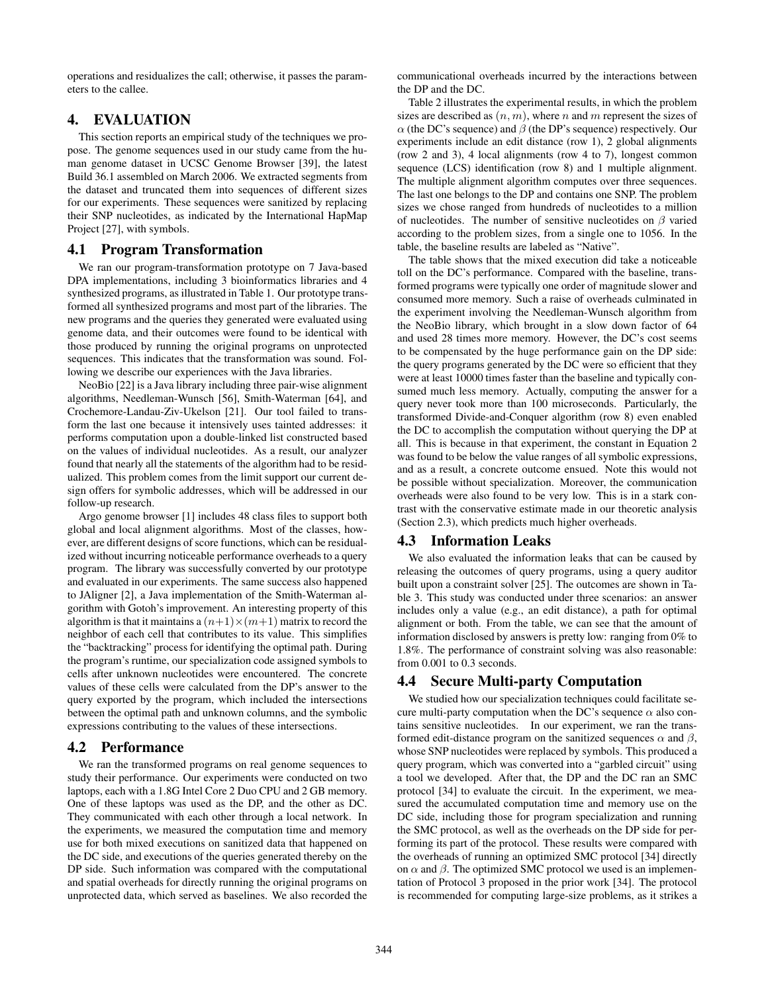operations and residualizes the call; otherwise, it passes the parameters to the callee.

## **4. EVALUATION**

This section reports an empirical study of the techniques we propose. The genome sequences used in our study came from the human genome dataset in UCSC Genome Browser [39], the latest Build 36.1 assembled on March 2006. We extracted segments from the dataset and truncated them into sequences of different sizes for our experiments. These sequences were sanitized by replacing their SNP nucleotides, as indicated by the International HapMap Project [27], with symbols.

## **4.1 Program Transformation**

We ran our program-transformation prototype on 7 Java-based DPA implementations, including 3 bioinformatics libraries and 4 synthesized programs, as illustrated in Table 1. Our prototype transformed all synthesized programs and most part of the libraries. The new programs and the queries they generated were evaluated using genome data, and their outcomes were found to be identical with those produced by running the original programs on unprotected sequences. This indicates that the transformation was sound. Following we describe our experiences with the Java libraries.

NeoBio [22] is a Java library including three pair-wise alignment algorithms, Needleman-Wunsch [56], Smith-Waterman [64], and Crochemore-Landau-Ziv-Ukelson [21]. Our tool failed to transform the last one because it intensively uses tainted addresses: it performs computation upon a double-linked list constructed based on the values of individual nucleotides. As a result, our analyzer found that nearly all the statements of the algorithm had to be residualized. This problem comes from the limit support our current design offers for symbolic addresses, which will be addressed in our follow-up research.

Argo genome browser [1] includes 48 class files to support both global and local alignment algorithms. Most of the classes, however, are different designs of score functions, which can be residualized without incurring noticeable performance overheads to a query program. The library was successfully converted by our prototype and evaluated in our experiments. The same success also happened to JAligner [2], a Java implementation of the Smith-Waterman algorithm with Gotoh's improvement. An interesting property of this algorithm is that it maintains a  $(n+1) \times (m+1)$  matrix to record the neighbor of each cell that contributes to its value. This simplifies the "backtracking" process for identifying the optimal path. During the program's runtime, our specialization code assigned symbols to cells after unknown nucleotides were encountered. The concrete values of these cells were calculated from the DP's answer to the query exported by the program, which included the intersections between the optimal path and unknown columns, and the symbolic expressions contributing to the values of these intersections.

## **4.2 Performance**

We ran the transformed programs on real genome sequences to study their performance. Our experiments were conducted on two laptops, each with a 1.8G Intel Core 2 Duo CPU and 2 GB memory. One of these laptops was used as the DP, and the other as DC. They communicated with each other through a local network. In the experiments, we measured the computation time and memory use for both mixed executions on sanitized data that happened on the DC side, and executions of the queries generated thereby on the DP side. Such information was compared with the computational and spatial overheads for directly running the original programs on unprotected data, which served as baselines. We also recorded the communicational overheads incurred by the interactions between the DP and the DC.

Table 2 illustrates the experimental results, in which the problem sizes are described as  $(n, m)$ , where n and m represent the sizes of  $\alpha$  (the DC's sequence) and  $\beta$  (the DP's sequence) respectively. Our experiments include an edit distance (row 1), 2 global alignments (row 2 and 3), 4 local alignments (row 4 to 7), longest common sequence (LCS) identification (row 8) and 1 multiple alignment. The multiple alignment algorithm computes over three sequences. The last one belongs to the DP and contains one SNP. The problem sizes we chose ranged from hundreds of nucleotides to a million of nucleotides. The number of sensitive nucleotides on  $\beta$  varied according to the problem sizes, from a single one to 1056. In the table, the baseline results are labeled as "Native".

The table shows that the mixed execution did take a noticeable toll on the DC's performance. Compared with the baseline, transformed programs were typically one order of magnitude slower and consumed more memory. Such a raise of overheads culminated in the experiment involving the Needleman-Wunsch algorithm from the NeoBio library, which brought in a slow down factor of 64 and used 28 times more memory. However, the DC's cost seems to be compensated by the huge performance gain on the DP side: the query programs generated by the DC were so efficient that they were at least 10000 times faster than the baseline and typically consumed much less memory. Actually, computing the answer for a query never took more than 100 microseconds. Particularly, the transformed Divide-and-Conquer algorithm (row 8) even enabled the DC to accomplish the computation without querying the DP at all. This is because in that experiment, the constant in Equation 2 was found to be below the value ranges of all symbolic expressions, and as a result, a concrete outcome ensued. Note this would not be possible without specialization. Moreover, the communication overheads were also found to be very low. This is in a stark contrast with the conservative estimate made in our theoretic analysis (Section 2.3), which predicts much higher overheads.

## **4.3 Information Leaks**

We also evaluated the information leaks that can be caused by releasing the outcomes of query programs, using a query auditor built upon a constraint solver [25]. The outcomes are shown in Table 3. This study was conducted under three scenarios: an answer includes only a value (e.g., an edit distance), a path for optimal alignment or both. From the table, we can see that the amount of information disclosed by answers is pretty low: ranging from 0% to 1.8%. The performance of constraint solving was also reasonable: from 0.001 to 0.3 seconds.

## **4.4 Secure Multi-party Computation**

We studied how our specialization techniques could facilitate secure multi-party computation when the DC's sequence  $\alpha$  also contains sensitive nucleotides. In our experiment, we ran the transformed edit-distance program on the sanitized sequences  $\alpha$  and  $\beta$ , whose SNP nucleotides were replaced by symbols. This produced a query program, which was converted into a "garbled circuit" using a tool we developed. After that, the DP and the DC ran an SMC protocol [34] to evaluate the circuit. In the experiment, we measured the accumulated computation time and memory use on the DC side, including those for program specialization and running the SMC protocol, as well as the overheads on the DP side for performing its part of the protocol. These results were compared with the overheads of running an optimized SMC protocol [34] directly on  $\alpha$  and  $\beta$ . The optimized SMC protocol we used is an implementation of Protocol 3 proposed in the prior work [34]. The protocol is recommended for computing large-size problems, as it strikes a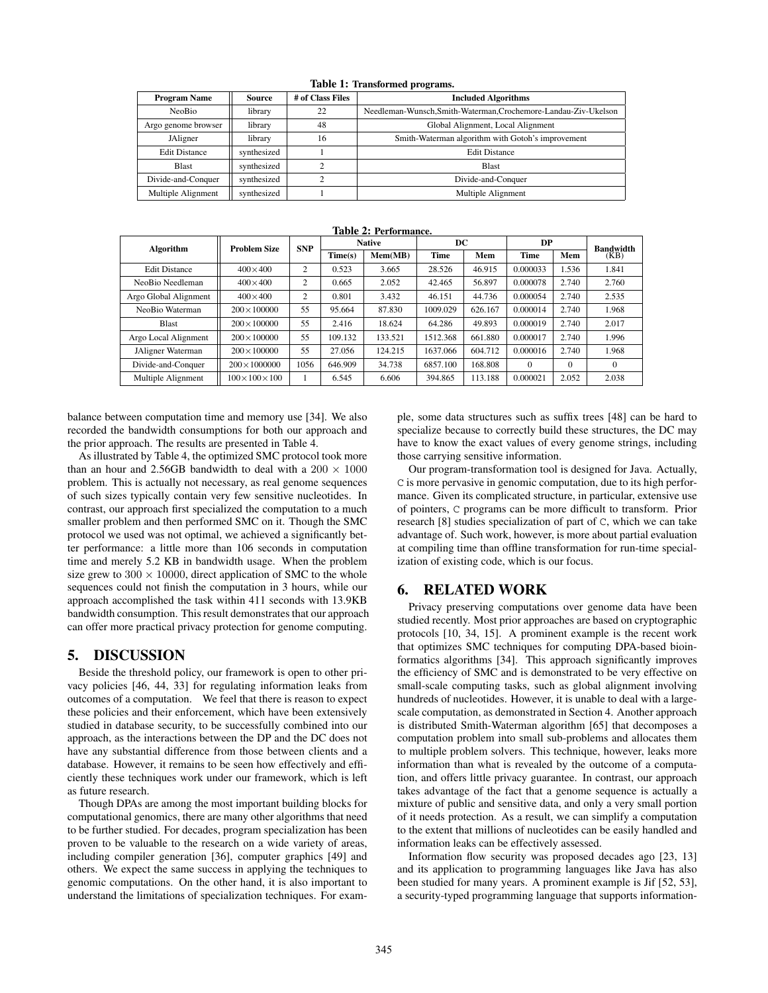**Table 1: Transformed programs.**

| <b>Program Name</b>  | Source      | # of Class Files | <b>Included Algorithms</b>                                      |
|----------------------|-------------|------------------|-----------------------------------------------------------------|
| NeoBio               | library     | 22               | Needleman-Wunsch, Smith-Waterman, Crochemore-Landau-Ziv-Ukelson |
| Argo genome browser  | library     | 48               | Global Alignment, Local Alignment                               |
| JAligner             | library     | 16               | Smith-Waterman algorithm with Gotoh's improvement               |
| <b>Edit Distance</b> | synthesized |                  | <b>Edit Distance</b>                                            |
| <b>Blast</b>         | synthesized |                  | <b>Blast</b>                                                    |
| Divide-and-Conquer   | synthesized |                  | Divide-and-Conquer                                              |
| Multiple Alignment   | synthesized |                  | Multiple Alignment                                              |

|  | Table 2: Performance. |
|--|-----------------------|
|  |                       |

| Algorithm             | <b>Problem Size</b>         | <b>SNP</b> | <b>Native</b> |         | DC       |         | DP          |          | <b>Bandwidth</b> |
|-----------------------|-----------------------------|------------|---------------|---------|----------|---------|-------------|----------|------------------|
|                       |                             |            | Time(s)       | Mem(MB) | Time     | Mem     | <b>Time</b> | Mem      | (KB)             |
| <b>Edit Distance</b>  | $400\times400$              | 2          | 0.523         | 3.665   | 28.526   | 46.915  | 0.000033    | 1.536    | 1.841            |
| NeoBio Needleman      | $400\times400$              | 2          | 0.665         | 2.052   | 42.465   | 56.897  | 0.000078    | 2.740    | 2.760            |
| Argo Global Alignment | $400\times400$              | 2          | 0.801         | 3.432   | 46.151   | 44.736  | 0.000054    | 2.740    | 2.535            |
| NeoBio Waterman       | $200 \times 100000$         | 55         | 95.664        | 87.830  | 1009.029 | 626.167 | 0.000014    | 2.740    | 1.968            |
| <b>Blast</b>          | $200 \times 100000$         | 55         | 2.416         | 18.624  | 64.286   | 49.893  | 0.000019    | 2.740    | 2.017            |
| Argo Local Alignment  | $200 \times 100000$         | 55         | 109.132       | 133.521 | 1512.368 | 661.880 | 0.000017    | 2.740    | 1.996            |
| JAligner Waterman     | $200 \times 100000$         | 55         | 27.056        | 124.215 | 1637.066 | 604.712 | 0.000016    | 2.740    | 1.968            |
| Divide-and-Conquer    | $200 \times 1000000$        | 1056       | 646.909       | 34.738  | 6857.100 | 168.808 | $\Omega$    | $\Omega$ | $\Omega$         |
| Multiple Alignment    | $100 \times 100 \times 100$ |            | 6.545         | 6.606   | 394.865  | 113.188 | 0.000021    | 2.052    | 2.038            |

balance between computation time and memory use [34]. We also recorded the bandwidth consumptions for both our approach and the prior approach. The results are presented in Table 4.

As illustrated by Table 4, the optimized SMC protocol took more than an hour and 2.56GB bandwidth to deal with a  $200 \times 1000$ problem. This is actually not necessary, as real genome sequences of such sizes typically contain very few sensitive nucleotides. In contrast, our approach first specialized the computation to a much smaller problem and then performed SMC on it. Though the SMC protocol we used was not optimal, we achieved a significantly better performance: a little more than 106 seconds in computation time and merely 5.2 KB in bandwidth usage. When the problem size grew to  $300 \times 10000$ , direct application of SMC to the whole sequences could not finish the computation in 3 hours, while our approach accomplished the task within 411 seconds with 13.9KB bandwidth consumption. This result demonstrates that our approach can offer more practical privacy protection for genome computing.

#### **5. DISCUSSION**

Beside the threshold policy, our framework is open to other privacy policies [46, 44, 33] for regulating information leaks from outcomes of a computation. We feel that there is reason to expect these policies and their enforcement, which have been extensively studied in database security, to be successfully combined into our approach, as the interactions between the DP and the DC does not have any substantial difference from those between clients and a database. However, it remains to be seen how effectively and efficiently these techniques work under our framework, which is left as future research.

Though DPAs are among the most important building blocks for computational genomics, there are many other algorithms that need to be further studied. For decades, program specialization has been proven to be valuable to the research on a wide variety of areas, including compiler generation [36], computer graphics [49] and others. We expect the same success in applying the techniques to genomic computations. On the other hand, it is also important to understand the limitations of specialization techniques. For example, some data structures such as suffix trees [48] can be hard to specialize because to correctly build these structures, the DC may have to know the exact values of every genome strings, including those carrying sensitive information.

Our program-transformation tool is designed for Java. Actually, C is more pervasive in genomic computation, due to its high performance. Given its complicated structure, in particular, extensive use of pointers, C programs can be more difficult to transform. Prior research [8] studies specialization of part of C, which we can take advantage of. Such work, however, is more about partial evaluation at compiling time than offline transformation for run-time specialization of existing code, which is our focus.

### **6. RELATED WORK**

Privacy preserving computations over genome data have been studied recently. Most prior approaches are based on cryptographic protocols [10, 34, 15]. A prominent example is the recent work that optimizes SMC techniques for computing DPA-based bioinformatics algorithms [34]. This approach significantly improves the efficiency of SMC and is demonstrated to be very effective on small-scale computing tasks, such as global alignment involving hundreds of nucleotides. However, it is unable to deal with a largescale computation, as demonstrated in Section 4. Another approach is distributed Smith-Waterman algorithm [65] that decomposes a computation problem into small sub-problems and allocates them to multiple problem solvers. This technique, however, leaks more information than what is revealed by the outcome of a computation, and offers little privacy guarantee. In contrast, our approach takes advantage of the fact that a genome sequence is actually a mixture of public and sensitive data, and only a very small portion of it needs protection. As a result, we can simplify a computation to the extent that millions of nucleotides can be easily handled and information leaks can be effectively assessed.

Information flow security was proposed decades ago [23, 13] and its application to programming languages like Java has also been studied for many years. A prominent example is Jif [52, 53], a security-typed programming language that supports information-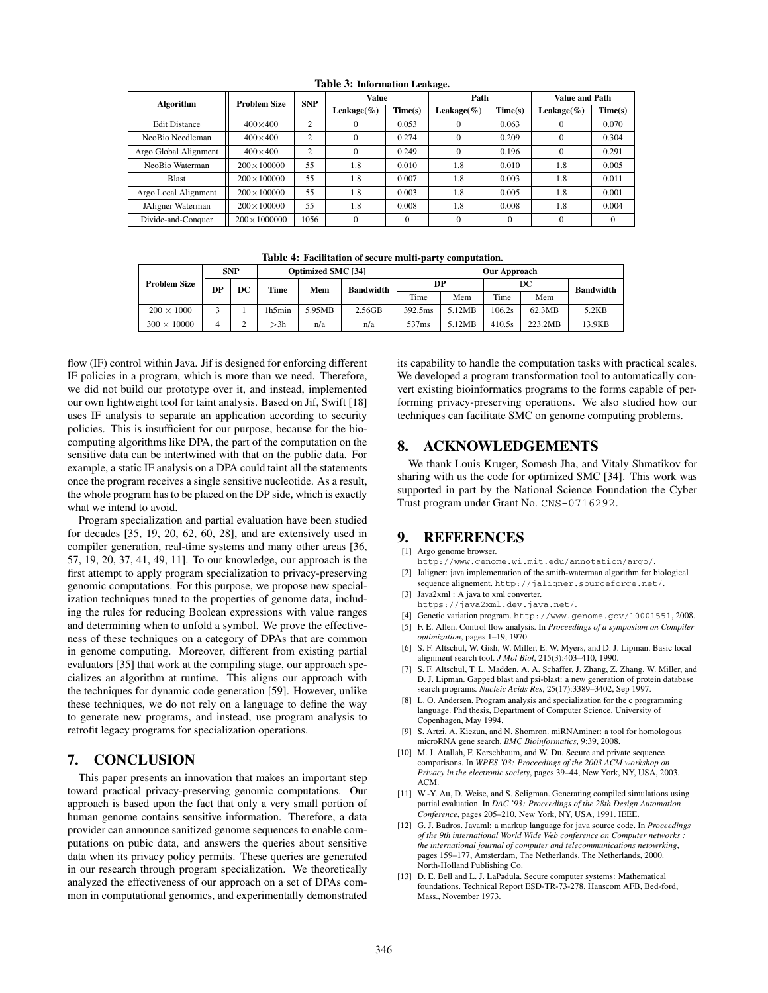| Algorithm             | <b>Problem Size</b>  | <b>SNP</b>     | Value          |          | Path           |          | Value and Path |          |
|-----------------------|----------------------|----------------|----------------|----------|----------------|----------|----------------|----------|
|                       |                      |                | Leakage $(\%)$ | Time(s)  | Leakage $(\%)$ | Time(s)  | Leakage $(\%)$ | Time(s)  |
| <b>Edit Distance</b>  | $400 \times 400$     | $\overline{c}$ |                | 0.053    |                | 0.063    | $\Omega$       | 0.070    |
| NeoBio Needleman      | $400 \times 400$     | $\overline{c}$ | $\Omega$       | 0.274    | $\theta$       | 0.209    | $\Omega$       | 0.304    |
| Argo Global Alignment | $400 \times 400$     | $\overline{c}$ | $\Omega$       | 0.249    | $\theta$       | 0.196    | $\Omega$       | 0.291    |
| NeoBio Waterman       | $200 \times 100000$  | 55             | 1.8            | 0.010    | 1.8            | 0.010    | 1.8            | 0.005    |
| <b>Blast</b>          | $200 \times 100000$  | 55             | 1.8            | 0.007    | 1.8            | 0.003    | 1.8            | 0.011    |
| Argo Local Alignment  | $200 \times 100000$  | 55             | 1.8            | 0.003    | 1.8            | 0.005    | 1.8            | 0.001    |
| JAligner Waterman     | $200 \times 100000$  | 55             | 1.8            | 0.008    | 1.8            | 0.008    | 1.8            | 0.004    |
| Divide-and-Conquer    | $200 \times 1000000$ | 1056           | $\Omega$       | $\Omega$ | $\theta$       | $\Omega$ | $\Omega$       | $\Omega$ |

**Table 3: Information Leakage.**

**Table 4: Facilitation of secure multi-party computation.**

|                     |                         | <b>SNP</b>       |        | <b>Optimized SMC [34]</b> |        |                   |                  | <b>Our Approach</b> |         |        |      |     |      |     |
|---------------------|-------------------------|------------------|--------|---------------------------|--------|-------------------|------------------|---------------------|---------|--------|------|-----|------|-----|
| <b>Problem Size</b> | DC<br>DP<br>Time<br>Mem | <b>Bandwidth</b> | DP     |                           | DC     |                   | <b>Bandwidth</b> |                     |         |        |      |     |      |     |
|                     |                         |                  |        |                           |        |                   |                  |                     |         |        | Time | Mem | Time | Mem |
| $200 \times 1000$   |                         |                  | 1h5min | 5.95MB                    | 2.56GB | 392.5ms           | 5.12MB           | 106.2s              | 62.3MB  | 5.2KB  |      |     |      |     |
| $300 \times 10000$  | 4                       |                  | >3h    | n/a                       | n/a    | 537 <sub>ms</sub> | 5.12MB           | 410.5s              | 223.2MB | 13.9KB |      |     |      |     |

flow (IF) control within Java. Jif is designed for enforcing different IF policies in a program, which is more than we need. Therefore, we did not build our prototype over it, and instead, implemented our own lightweight tool for taint analysis. Based on Jif, Swift [18] uses IF analysis to separate an application according to security policies. This is insufficient for our purpose, because for the biocomputing algorithms like DPA, the part of the computation on the sensitive data can be intertwined with that on the public data. For example, a static IF analysis on a DPA could taint all the statements once the program receives a single sensitive nucleotide. As a result, the whole program has to be placed on the DP side, which is exactly what we intend to avoid.

Program specialization and partial evaluation have been studied for decades [35, 19, 20, 62, 60, 28], and are extensively used in compiler generation, real-time systems and many other areas [36, 57, 19, 20, 37, 41, 49, 11]. To our knowledge, our approach is the first attempt to apply program specialization to privacy-preserving genomic computations. For this purpose, we propose new specialization techniques tuned to the properties of genome data, including the rules for reducing Boolean expressions with value ranges and determining when to unfold a symbol. We prove the effectiveness of these techniques on a category of DPAs that are common in genome computing. Moreover, different from existing partial evaluators [35] that work at the compiling stage, our approach specializes an algorithm at runtime. This aligns our approach with the techniques for dynamic code generation [59]. However, unlike these techniques, we do not rely on a language to define the way to generate new programs, and instead, use program analysis to retrofit legacy programs for specialization operations.

## **7. CONCLUSION**

This paper presents an innovation that makes an important step toward practical privacy-preserving genomic computations. Our approach is based upon the fact that only a very small portion of human genome contains sensitive information. Therefore, a data provider can announce sanitized genome sequences to enable computations on pubic data, and answers the queries about sensitive data when its privacy policy permits. These queries are generated in our research through program specialization. We theoretically analyzed the effectiveness of our approach on a set of DPAs common in computational genomics, and experimentally demonstrated its capability to handle the computation tasks with practical scales. We developed a program transformation tool to automatically convert existing bioinformatics programs to the forms capable of performing privacy-preserving operations. We also studied how our techniques can facilitate SMC on genome computing problems.

## **8. ACKNOWLEDGEMENTS**

We thank Louis Kruger, Somesh Jha, and Vitaly Shmatikov for sharing with us the code for optimized SMC [34]. This work was supported in part by the National Science Foundation the Cyber Trust program under Grant No. CNS-0716292.

## **9. REFERENCES**

- [1] Argo genome browser.
- http://www.genome.wi.mit.edu/annotation/argo/.
- [2] Jaligner: java implementation of the smith-waterman algorithm for biological sequence alignement. http://jaligner.sourceforge.net/.
- [3] Java2xml : A java to xml converter. https://java2xml.dev.java.net/.
- [4] Genetic variation program. http://www.genome.gov/10001551, 2008.
- [5] F. E. Allen. Control flow analysis. In *Proceedings of a symposium on Compiler optimization*, pages 1–19, 1970.
- [6] S. F. Altschul, W. Gish, W. Miller, E. W. Myers, and D. J. Lipman. Basic local alignment search tool. *J Mol Biol*, 215(3):403–410, 1990.
- [7] S. F. Altschul, T. L. Madden, A. A. Schaffer, J. Zhang, Z. Zhang, W. Miller, and D. J. Lipman. Gapped blast and psi-blast: a new generation of protein database search programs. *Nucleic Acids Res*, 25(17):3389–3402, Sep 1997.
- [8] L. O. Andersen. Program analysis and specialization for the c programming language. Phd thesis, Department of Computer Science, University of Copenhagen, May 1994.
- [9] S. Artzi, A. Kiezun, and N. Shomron. miRNAminer: a tool for homologous microRNA gene search. *BMC Bioinformatics*, 9:39, 2008.
- [10] M. J. Atallah, F. Kerschbaum, and W. Du. Secure and private sequence comparisons. In *WPES '03: Proceedings of the 2003 ACM workshop on Privacy in the electronic society*, pages 39–44, New York, NY, USA, 2003. ACM.
- [11] W.-Y. Au, D. Weise, and S. Seligman. Generating compiled simulations using partial evaluation. In *DAC '93: Proceedings of the 28th Design Automation Conference*, pages 205–210, New York, NY, USA, 1991. IEEE.
- [12] G. J. Badros. Javaml: a markup language for java source code. In *Proceedings of the 9th international World Wide Web conference on Computer networks : the international journal of computer and telecommunications netowrking*, pages 159–177, Amsterdam, The Netherlands, The Netherlands, 2000. North-Holland Publishing Co.
- [13] D. E. Bell and L. J. LaPadula. Secure computer systems: Mathematical foundations. Technical Report ESD-TR-73-278, Hanscom AFB, Bed-ford, Mass., November 1973.